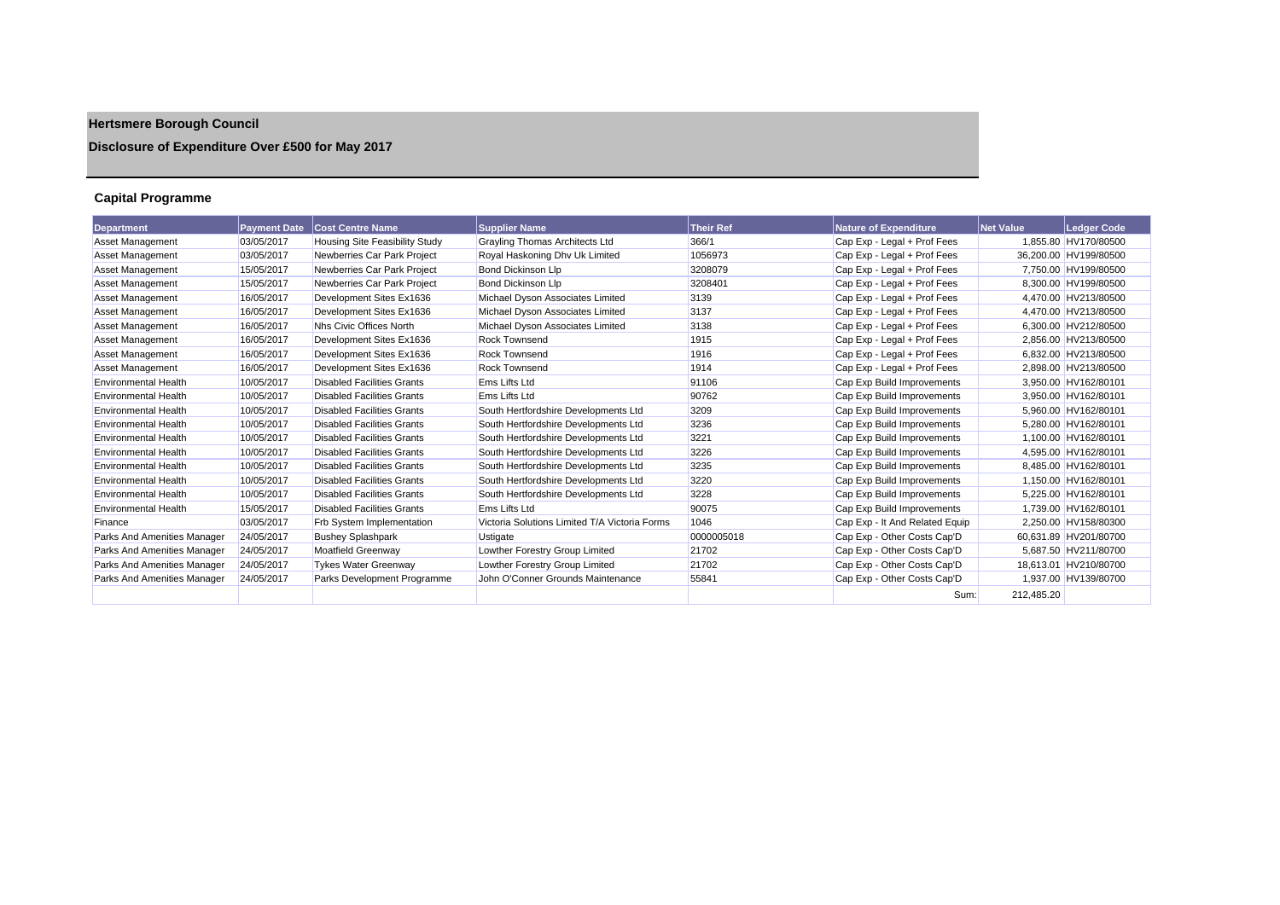# **Hertsmere Borough Council**

## **Disclosure of Expenditure Over £500 for May 2017**

## **Capital Programme**

| <b>Department</b>           | <b>Payment Date</b> | <b>Cost Centre Name</b>               | <b>Supplier Name</b>                          | <b>Their Ref</b> | <b>Nature of Expenditure</b>   | <b>Net Value</b> | <b>Ledger Code</b>    |
|-----------------------------|---------------------|---------------------------------------|-----------------------------------------------|------------------|--------------------------------|------------------|-----------------------|
| <b>Asset Management</b>     | 03/05/2017          | <b>Housing Site Feasibility Study</b> | <b>Grayling Thomas Architects Ltd</b>         | 366/1            | Cap Exp - Legal + Prof Fees    |                  | 1,855.80 HV170/80500  |
| <b>Asset Management</b>     | 03/05/2017          | Newberries Car Park Project           | Royal Haskoning Dhy Uk Limited                | 1056973          | Cap Exp - Legal + Prof Fees    |                  | 36,200.00 HV199/80500 |
| Asset Management            | 15/05/2017          | Newberries Car Park Project           | <b>Bond Dickinson Llp</b>                     | 3208079          | Cap Exp - Legal + Prof Fees    |                  | 7.750.00 HV199/80500  |
| <b>Asset Management</b>     | 15/05/2017          | Newberries Car Park Project           | <b>Bond Dickinson Llp</b>                     | 3208401          | Cap Exp - Legal + Prof Fees    |                  | 8,300.00 HV199/80500  |
| <b>Asset Management</b>     | 16/05/2017          | Development Sites Ex1636              | Michael Dyson Associates Limited              | 3139             | Cap Exp - Legal + Prof Fees    |                  | 4.470.00 HV213/80500  |
| <b>Asset Management</b>     | 16/05/2017          | Development Sites Ex1636              | Michael Dyson Associates Limited              | 3137             | Cap Exp - Legal + Prof Fees    |                  | 4.470.00 HV213/80500  |
| <b>Asset Management</b>     | 16/05/2017          | Nhs Civic Offices North               | Michael Dyson Associates Limited              | 3138             | Cap Exp - Legal + Prof Fees    |                  | 6.300.00 HV212/80500  |
| Asset Management            | 16/05/2017          | Development Sites Ex1636              | <b>Rock Townsend</b>                          | 1915             | Cap Exp - Legal + Prof Fees    |                  | 2,856.00 HV213/80500  |
| <b>Asset Management</b>     | 16/05/2017          | Development Sites Ex1636              | Rock Townsend                                 | 1916             | Cap Exp - Legal + Prof Fees    |                  | 6.832.00 HV213/80500  |
| Asset Management            | 16/05/2017          | Development Sites Ex1636              | <b>Rock Townsend</b>                          | 1914             | Cap Exp - Legal + Prof Fees    |                  | 2,898.00 HV213/80500  |
| <b>Environmental Health</b> | 10/05/2017          | <b>Disabled Facilities Grants</b>     | <b>Ems Lifts Ltd</b>                          | 91106            | Cap Exp Build Improvements     |                  | 3,950.00 HV162/80101  |
| <b>Environmental Health</b> | 10/05/2017          | <b>Disabled Facilities Grants</b>     | Ems Lifts Ltd                                 | 90762            | Cap Exp Build Improvements     |                  | 3,950.00 HV162/80101  |
| <b>Environmental Health</b> | 10/05/2017          | <b>Disabled Facilities Grants</b>     | South Hertfordshire Developments Ltd          | 3209             | Cap Exp Build Improvements     |                  | 5.960.00 HV162/80101  |
| <b>Environmental Health</b> | 10/05/2017          | <b>Disabled Facilities Grants</b>     | South Hertfordshire Developments Ltd          | 3236             | Cap Exp Build Improvements     |                  | 5.280.00 HV162/80101  |
| <b>Environmental Health</b> | 10/05/2017          | <b>Disabled Facilities Grants</b>     | South Hertfordshire Developments Ltd          | 3221             | Cap Exp Build Improvements     |                  | 1,100.00 HV162/80101  |
| <b>Environmental Health</b> | 10/05/2017          | <b>Disabled Facilities Grants</b>     | South Hertfordshire Developments Ltd          | 3226             | Cap Exp Build Improvements     |                  | 4.595.00 HV162/80101  |
| <b>Environmental Health</b> | 10/05/2017          | <b>Disabled Facilities Grants</b>     | South Hertfordshire Developments Ltd          | 3235             | Cap Exp Build Improvements     |                  | 8.485.00 HV162/80101  |
| <b>Environmental Health</b> | 10/05/2017          | <b>Disabled Facilities Grants</b>     | South Hertfordshire Developments Ltd          | 3220             | Cap Exp Build Improvements     |                  | 1.150.00 HV162/80101  |
| <b>Environmental Health</b> | 10/05/2017          | <b>Disabled Facilities Grants</b>     | South Hertfordshire Developments Ltd          | 3228             | Cap Exp Build Improvements     |                  | 5,225.00 HV162/80101  |
| <b>Environmental Health</b> | 15/05/2017          | <b>Disabled Facilities Grants</b>     | <b>Ems Lifts Ltd</b>                          | 90075            | Cap Exp Build Improvements     |                  | 1.739.00 HV162/80101  |
| Finance                     | 03/05/2017          | <b>Frb System Implementation</b>      | Victoria Solutions Limited T/A Victoria Forms | 1046             | Cap Exp - It And Related Equip |                  | 2.250.00 HV158/80300  |
| Parks And Amenities Manager | 24/05/2017          | <b>Bushey Splashpark</b>              | <b>Ustigate</b>                               | 0000005018       | Cap Exp - Other Costs Cap'D    |                  | 60,631.89 HV201/80700 |
| Parks And Amenities Manager | 24/05/2017          | Moatfield Greenway                    | Lowther Forestry Group Limited                | 21702            | Cap Exp - Other Costs Cap'D    |                  | 5,687.50 HV211/80700  |
| Parks And Amenities Manager | 24/05/2017          | <b>Tykes Water Greenway</b>           | Lowther Forestry Group Limited                | 21702            | Cap Exp - Other Costs Cap'D    |                  | 18.613.01 HV210/80700 |
| Parks And Amenities Manager | 24/05/2017          | Parks Development Programme           | John O'Conner Grounds Maintenance             | 55841            | Cap Exp - Other Costs Cap'D    |                  | 1.937.00 HV139/80700  |
|                             |                     |                                       |                                               |                  | Sum:                           | 212.485.20       |                       |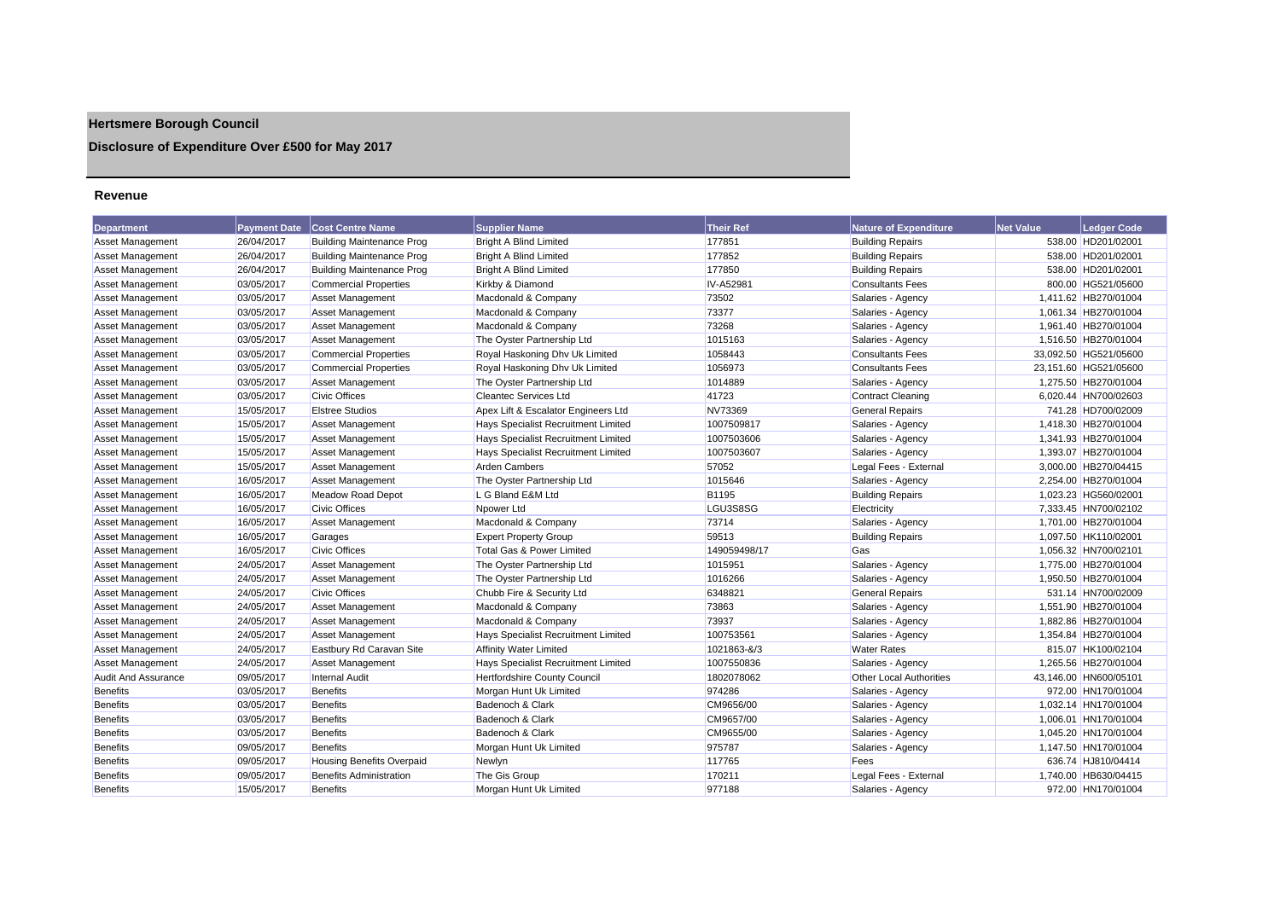## **Hertsmere Borough Council**

## **Disclosure of Expenditure Over £500 for May 2017**

#### **Revenue**

| <b>Department</b>       | <b>Payment Date</b>      | <b>Cost Centre Name</b>          | <b>Supplier Name</b>                       | <b>Their Ref</b> | <b>Nature of Expenditure</b>   | <b>Net Value</b> | Ledger Code           |
|-------------------------|--------------------------|----------------------------------|--------------------------------------------|------------------|--------------------------------|------------------|-----------------------|
| Asset Management        | 26/04/2017               | <b>Building Maintenance Prog</b> | <b>Bright A Blind Limited</b>              | 177851           | <b>Building Repairs</b>        |                  | 538.00 HD201/02001    |
| Asset Management        | 26/04/2017               | <b>Building Maintenance Prog</b> | <b>Bright A Blind Limited</b>              | 177852           | <b>Building Repairs</b>        |                  | 538.00 HD201/02001    |
| Asset Management        | 26/04/2017               | <b>Building Maintenance Prog</b> | <b>Bright A Blind Limited</b>              | 177850           | <b>Building Repairs</b>        |                  | 538.00 HD201/02001    |
| <b>Asset Management</b> | 03/05/2017               | <b>Commercial Properties</b>     | Kirkby & Diamond                           | IV-A52981        | <b>Consultants Fees</b>        |                  | 800.00 HG521/05600    |
| <b>Asset Management</b> | 03/05/2017               | <b>Asset Management</b>          | Macdonald & Company                        | 73502            | Salaries - Agency              |                  | 1,411.62 HB270/01004  |
| <b>Asset Management</b> | 03/05/2017               | <b>Asset Management</b>          | Macdonald & Company                        | 73377            | Salaries - Agency              |                  | 1,061.34 HB270/01004  |
| <b>Asset Management</b> | 03/05/2017               | <b>Asset Management</b>          | Macdonald & Company                        | 73268            | Salaries - Agency              |                  | 1,961.40 HB270/01004  |
| Asset Management        | 03/05/2017               | <b>Asset Management</b>          | The Oyster Partnership Ltd                 | 1015163          | Salaries - Agency              |                  | 1,516.50 HB270/01004  |
| <b>Asset Management</b> | 03/05/2017               | <b>Commercial Properties</b>     | Royal Haskoning Dhy Uk Limited             | 1058443          | <b>Consultants Fees</b>        |                  | 33,092.50 HG521/05600 |
| <b>Asset Management</b> | 03/05/2017               | <b>Commercial Properties</b>     | Royal Haskoning Dhy Uk Limited             | 1056973          | <b>Consultants Fees</b>        |                  | 23,151.60 HG521/05600 |
| <b>Asset Management</b> | 03/05/2017               | <b>Asset Management</b>          | The Oyster Partnership Ltd                 | 1014889          | Salaries - Agency              |                  | 1,275.50 HB270/01004  |
| <b>Asset Management</b> | 03/05/2017               | <b>Civic Offices</b>             | <b>Cleantec Services Ltd</b>               | 41723            | <b>Contract Cleaning</b>       |                  | 6,020.44 HN700/02603  |
| <b>Asset Management</b> | 15/05/2017               | <b>Elstree Studios</b>           | Apex Lift & Escalator Engineers Ltd        | NV73369          | <b>General Repairs</b>         |                  | 741.28 HD700/02009    |
| <b>Asset Management</b> | 15/05/2017               |                                  |                                            |                  |                                |                  | 1,418.30 HB270/01004  |
|                         | 15/05/2017               | Asset Management                 | Hays Specialist Recruitment Limited        | 1007509817       | Salaries - Agency              |                  | 1,341.93 HB270/01004  |
| <b>Asset Management</b> |                          | <b>Asset Management</b>          | <b>Hays Specialist Recruitment Limited</b> | 1007503606       | Salaries - Agency              |                  |                       |
| <b>Asset Management</b> | 15/05/2017<br>15/05/2017 | <b>Asset Management</b>          | Hays Specialist Recruitment Limited        | 1007503607       | Salaries - Agency              |                  | 1,393.07 HB270/01004  |
| Asset Management        |                          | <b>Asset Management</b>          | <b>Arden Cambers</b>                       | 57052            | Legal Fees - External          |                  | 3,000.00 HB270/04415  |
| <b>Asset Management</b> | 16/05/2017               | Asset Management                 | The Oyster Partnership Ltd                 | 1015646          | Salaries - Agency              |                  | 2,254.00 HB270/01004  |
| Asset Management        | 16/05/2017               | <b>Meadow Road Depot</b>         | L G Bland E&M Ltd                          | B1195            | <b>Building Repairs</b>        |                  | 1,023.23 HG560/02001  |
| Asset Management        | 16/05/2017               | <b>Civic Offices</b>             | Npower Ltd                                 | LGU3S8SG         | Electricity                    |                  | 7,333.45 HN700/02102  |
| <b>Asset Management</b> | 16/05/2017               | <b>Asset Management</b>          | Macdonald & Company                        | 73714            | Salaries - Agency              |                  | 1,701.00 HB270/01004  |
| <b>Asset Management</b> | 16/05/2017               | Garages                          | <b>Expert Property Group</b>               | 59513            | <b>Building Repairs</b>        |                  | 1,097.50 HK110/02001  |
| <b>Asset Management</b> | 16/05/2017               | <b>Civic Offices</b>             | <b>Total Gas &amp; Power Limited</b>       | 149059498/17     | Gas                            |                  | 1,056.32 HN700/02101  |
| Asset Management        | 24/05/2017               | <b>Asset Management</b>          | The Oyster Partnership Ltd                 | 1015951          | Salaries - Agency              |                  | 1,775.00 HB270/01004  |
| Asset Management        | 24/05/2017               | <b>Asset Management</b>          | The Oyster Partnership Ltd                 | 1016266          | Salaries - Agency              |                  | 1,950.50 HB270/01004  |
| <b>Asset Management</b> | 24/05/2017               | <b>Civic Offices</b>             | Chubb Fire & Security Ltd                  | 6348821          | <b>General Repairs</b>         |                  | 531.14 HN700/02009    |
| <b>Asset Management</b> | 24/05/2017               | <b>Asset Management</b>          | Macdonald & Company                        | 73863            | Salaries - Agency              |                  | 1,551.90 HB270/01004  |
| <b>Asset Management</b> | 24/05/2017               | <b>Asset Management</b>          | Macdonald & Company                        | 73937            | Salaries - Agency              |                  | 1,882.86 HB270/01004  |
| Asset Management        | 24/05/2017               | <b>Asset Management</b>          | Hays Specialist Recruitment Limited        | 100753561        | Salaries - Agency              |                  | 1,354.84 HB270/01004  |
| Asset Management        | 24/05/2017               | Eastbury Rd Caravan Site         | <b>Affinity Water Limited</b>              | 1021863-&/3      | <b>Water Rates</b>             |                  | 815.07 HK100/02104    |
| <b>Asset Management</b> | 24/05/2017               | <b>Asset Management</b>          | Hays Specialist Recruitment Limited        | 1007550836       | Salaries - Agency              |                  | 1.265.56 HB270/01004  |
| Audit And Assurance     | 09/05/2017               | <b>Internal Audit</b>            | Hertfordshire County Council               | 1802078062       | <b>Other Local Authorities</b> |                  | 43,146.00 HN600/05101 |
| <b>Benefits</b>         | 03/05/2017               | <b>Benefits</b>                  | Morgan Hunt Uk Limited                     | 974286           | Salaries - Agency              |                  | 972.00 HN170/01004    |
| <b>Benefits</b>         | 03/05/2017               | <b>Benefits</b>                  | Badenoch & Clark                           | CM9656/00        | Salaries - Agency              |                  | 1,032.14 HN170/01004  |
| <b>Benefits</b>         | 03/05/2017               | <b>Benefits</b>                  | Badenoch & Clark                           | CM9657/00        | Salaries - Agency              |                  | 1,006.01 HN170/01004  |
| <b>Benefits</b>         | 03/05/2017               | <b>Benefits</b>                  | Badenoch & Clark                           | CM9655/00        | Salaries - Agency              |                  | 1,045.20 HN170/01004  |
| <b>Benefits</b>         | 09/05/2017               | <b>Benefits</b>                  | Morgan Hunt Uk Limited                     | 975787           | Salaries - Agency              |                  | 1,147.50 HN170/01004  |
| <b>Benefits</b>         | 09/05/2017               | <b>Housing Benefits Overpaid</b> | Newlyn                                     | 117765           | Fees                           |                  | 636.74 HJ810/04414    |
| <b>Benefits</b>         | 09/05/2017               | <b>Benefits Administration</b>   | The Gis Group                              | 170211           | Legal Fees - External          |                  | 1.740.00 HB630/04415  |
| <b>Benefits</b>         | 15/05/2017               | <b>Benefits</b>                  | Morgan Hunt Uk Limited                     | 977188           | Salaries - Agency              |                  | 972.00 HN170/01004    |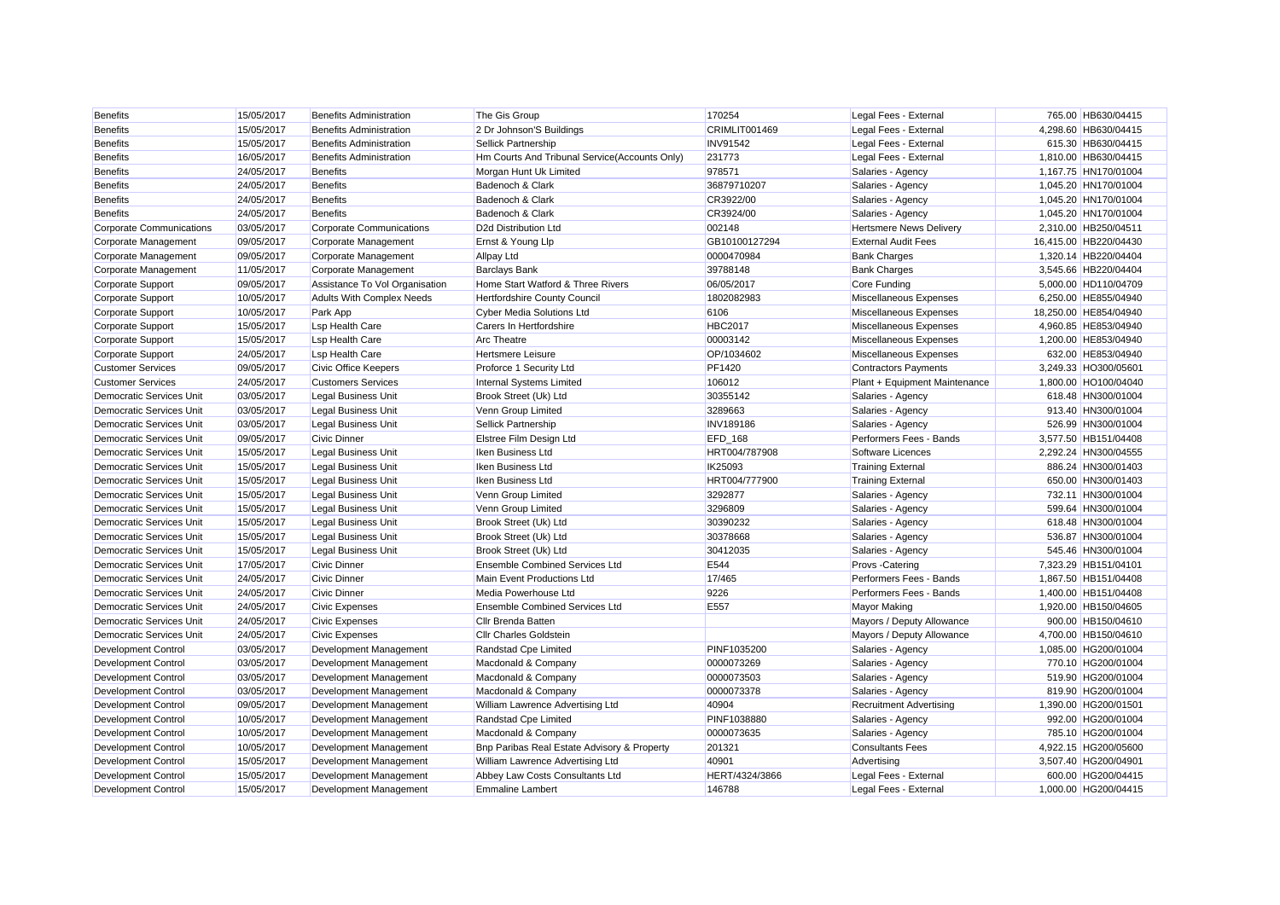| <b>Benefits</b>                 | 15/05/2017 | <b>Benefits Administration</b>   | The Gis Group                                 | 170254           | Legal Fees - External          | 765.00 HB630/04415    |
|---------------------------------|------------|----------------------------------|-----------------------------------------------|------------------|--------------------------------|-----------------------|
| <b>Benefits</b>                 | 15/05/2017 | <b>Benefits Administration</b>   | 2 Dr Johnson'S Buildings                      | CRIMLIT001469    | Legal Fees - External          | 4,298.60 HB630/04415  |
| <b>Benefits</b>                 | 15/05/2017 | <b>Benefits Administration</b>   | <b>Sellick Partnership</b>                    | <b>INV91542</b>  | Legal Fees - External          | 615.30 HB630/04415    |
| <b>Benefits</b>                 | 16/05/2017 | <b>Benefits Administration</b>   | Hm Courts And Tribunal Service(Accounts Only) | 231773           | Legal Fees - External          | 1,810.00 HB630/04415  |
| <b>Benefits</b>                 | 24/05/2017 | <b>Benefits</b>                  | Morgan Hunt Uk Limited                        | 978571           | Salaries - Agency              | 1,167.75 HN170/01004  |
| <b>Benefits</b>                 | 24/05/2017 | <b>Benefits</b>                  | Badenoch & Clark                              | 36879710207      | Salaries - Agency              | 1,045.20 HN170/01004  |
| <b>Benefits</b>                 | 24/05/2017 | <b>Benefits</b>                  | Badenoch & Clark                              | CR3922/00        | Salaries - Agency              | 1,045.20 HN170/01004  |
| <b>Benefits</b>                 | 24/05/2017 | <b>Benefits</b>                  | Badenoch & Clark                              | CR3924/00        | Salaries - Agency              | 1,045.20 HN170/01004  |
| Corporate Communications        | 03/05/2017 | <b>Corporate Communications</b>  | D2d Distribution Ltd                          | 002148           | <b>Hertsmere News Delivery</b> | 2,310.00 HB250/04511  |
| Corporate Management            | 09/05/2017 | Corporate Management             | Ernst & Young Llp                             | GB10100127294    | <b>External Audit Fees</b>     | 16,415.00 HB220/04430 |
| Corporate Management            | 09/05/2017 | Corporate Management             | <b>Allpay Ltd</b>                             | 0000470984       | <b>Bank Charges</b>            | 1.320.14 HB220/04404  |
| Corporate Management            | 11/05/2017 | Corporate Management             | <b>Barclays Bank</b>                          | 39788148         | <b>Bank Charges</b>            | 3,545.66 HB220/04404  |
| Corporate Support               | 09/05/2017 | Assistance To Vol Organisation   | Home Start Watford & Three Rivers             | 06/05/2017       | <b>Core Funding</b>            | 5,000.00 HD110/04709  |
| Corporate Support               | 10/05/2017 | <b>Adults With Complex Needs</b> | Hertfordshire County Council                  | 1802082983       | Miscellaneous Expenses         | 6.250.00 HE855/04940  |
| Corporate Support               | 10/05/2017 | Park App                         | <b>Cyber Media Solutions Ltd</b>              | 6106             | Miscellaneous Expenses         | 18.250.00 HE854/04940 |
| Corporate Support               | 15/05/2017 | <b>Lsp Health Care</b>           | Carers In Hertfordshire                       | <b>HBC2017</b>   | Miscellaneous Expenses         | 4,960.85 HE853/04940  |
| Corporate Support               | 15/05/2017 | <b>Lsp Health Care</b>           | <b>Arc Theatre</b>                            | 00003142         | Miscellaneous Expenses         | 1,200.00 HE853/04940  |
| Corporate Support               | 24/05/2017 | <b>Lsp Health Care</b>           | <b>Hertsmere Leisure</b>                      | OP/1034602       | Miscellaneous Expenses         | 632.00 HE853/04940    |
| <b>Customer Services</b>        | 09/05/2017 | <b>Civic Office Keepers</b>      | Proforce 1 Security Ltd                       | PF1420           | <b>Contractors Payments</b>    | 3,249.33 HO300/05601  |
| <b>Customer Services</b>        | 24/05/2017 | <b>Customers Services</b>        | Internal Systems Limited                      | 106012           | Plant + Equipment Maintenance  | 1,800.00 HO100/04040  |
| Democratic Services Unit        | 03/05/2017 | <b>Legal Business Unit</b>       | Brook Street (Uk) Ltd                         | 30355142         | Salaries - Agency              | 618.48 HN300/01004    |
| <b>Democratic Services Unit</b> | 03/05/2017 | <b>Legal Business Unit</b>       | Venn Group Limited                            | 3289663          | Salaries - Agency              | 913.40 HN300/01004    |
| Democratic Services Unit        | 03/05/2017 | <b>Legal Business Unit</b>       | Sellick Partnership                           | <b>INV189186</b> | Salaries - Agency              | 526.99 HN300/01004    |
| Democratic Services Unit        | 09/05/2017 | <b>Civic Dinner</b>              | Elstree Film Design Ltd                       | EFD_168          | Performers Fees - Bands        | 3,577.50 HB151/04408  |
| <b>Democratic Services Unit</b> | 15/05/2017 | <b>Legal Business Unit</b>       | Iken Business Ltd                             | HRT004/787908    | Software Licences              | 2,292.24 HN300/04555  |
| <b>Democratic Services Unit</b> | 15/05/2017 | <b>Legal Business Unit</b>       | Iken Business Ltd                             | IK25093          | <b>Training External</b>       | 886.24 HN300/01403    |
| Democratic Services Unit        | 15/05/2017 | <b>Legal Business Unit</b>       | Iken Business Ltd                             | HRT004/777900    | <b>Training External</b>       | 650.00 HN300/01403    |
| <b>Democratic Services Unit</b> | 15/05/2017 | <b>Legal Business Unit</b>       | Venn Group Limited                            | 3292877          | Salaries - Agency              | 732.11 HN300/01004    |
| Democratic Services Unit        | 15/05/2017 | <b>Legal Business Unit</b>       | Venn Group Limited                            | 3296809          | Salaries - Agency              | 599.64 HN300/01004    |
| <b>Democratic Services Unit</b> | 15/05/2017 | <b>Legal Business Unit</b>       | Brook Street (Uk) Ltd                         | 30390232         | Salaries - Agency              | 618.48 HN300/01004    |
| Democratic Services Unit        | 15/05/2017 | <b>Legal Business Unit</b>       | Brook Street (Uk) Ltd                         | 30378668         | Salaries - Agency              | 536.87 HN300/01004    |
| <b>Democratic Services Unit</b> | 15/05/2017 | <b>Legal Business Unit</b>       | Brook Street (Uk) Ltd                         | 30412035         | Salaries - Agency              | 545.46 HN300/01004    |
| Democratic Services Unit        | 17/05/2017 | <b>Civic Dinner</b>              | <b>Ensemble Combined Services Ltd</b>         | E544             | Provs -Catering                | 7,323.29 HB151/04101  |
| <b>Democratic Services Unit</b> | 24/05/2017 | <b>Civic Dinner</b>              | <b>Main Event Productions Ltd</b>             | 17/465           | Performers Fees - Bands        | 1.867.50 HB151/04408  |
| Democratic Services Unit        | 24/05/2017 | <b>Civic Dinner</b>              | Media Powerhouse Ltd                          | 9226             | Performers Fees - Bands        | 1,400.00 HB151/04408  |
| <b>Democratic Services Unit</b> | 24/05/2017 | <b>Civic Expenses</b>            | <b>Ensemble Combined Services Ltd</b>         | E557             | <b>Mayor Making</b>            | 1,920.00 HB150/04605  |
| <b>Democratic Services Unit</b> | 24/05/2017 | <b>Civic Expenses</b>            | Cllr Brenda Batten                            |                  | Mayors / Deputy Allowance      | 900.00 HB150/04610    |
| Democratic Services Unit        | 24/05/2017 | <b>Civic Expenses</b>            | <b>Cllr Charles Goldstein</b>                 |                  | Mayors / Deputy Allowance      | 4,700.00 HB150/04610  |
| <b>Development Control</b>      | 03/05/2017 | Development Management           | Randstad Cpe Limited                          | PINF1035200      | Salaries - Agency              | 1,085.00 HG200/01004  |
| <b>Development Control</b>      | 03/05/2017 | Development Management           | Macdonald & Company                           | 0000073269       | Salaries - Agency              | 770.10 HG200/01004    |
| <b>Development Control</b>      | 03/05/2017 | Development Management           | Macdonald & Company                           | 0000073503       | Salaries - Agency              | 519.90 HG200/01004    |
| Development Control             | 03/05/2017 | Development Management           | Macdonald & Company                           | 0000073378       | Salaries - Agency              | 819.90 HG200/01004    |
| <b>Development Control</b>      | 09/05/2017 | Development Management           | William Lawrence Advertising Ltd              | 40904            | <b>Recruitment Advertising</b> | 1,390.00 HG200/01501  |
| <b>Development Control</b>      | 10/05/2017 | Development Management           | Randstad Cpe Limited                          | PINF1038880      | Salaries - Agency              | 992.00 HG200/01004    |
| <b>Development Control</b>      | 10/05/2017 | Development Management           | Macdonald & Company                           | 0000073635       | Salaries - Agency              | 785.10 HG200/01004    |
| <b>Development Control</b>      | 10/05/2017 | Development Management           | Bnp Paribas Real Estate Advisory & Property   | 201321           | <b>Consultants Fees</b>        | 4,922.15 HG200/05600  |
| <b>Development Control</b>      | 15/05/2017 | Development Management           | William Lawrence Advertising Ltd              | 40901            | Advertising                    | 3,507.40 HG200/04901  |
| Development Control             | 15/05/2017 | Development Management           | Abbey Law Costs Consultants Ltd               | HERT/4324/3866   | Legal Fees - External          | 600.00 HG200/04415    |
| <b>Development Control</b>      | 15/05/2017 | Development Management           | <b>Emmaline Lambert</b>                       | 146788           | Legal Fees - External          | 1.000.00 HG200/04415  |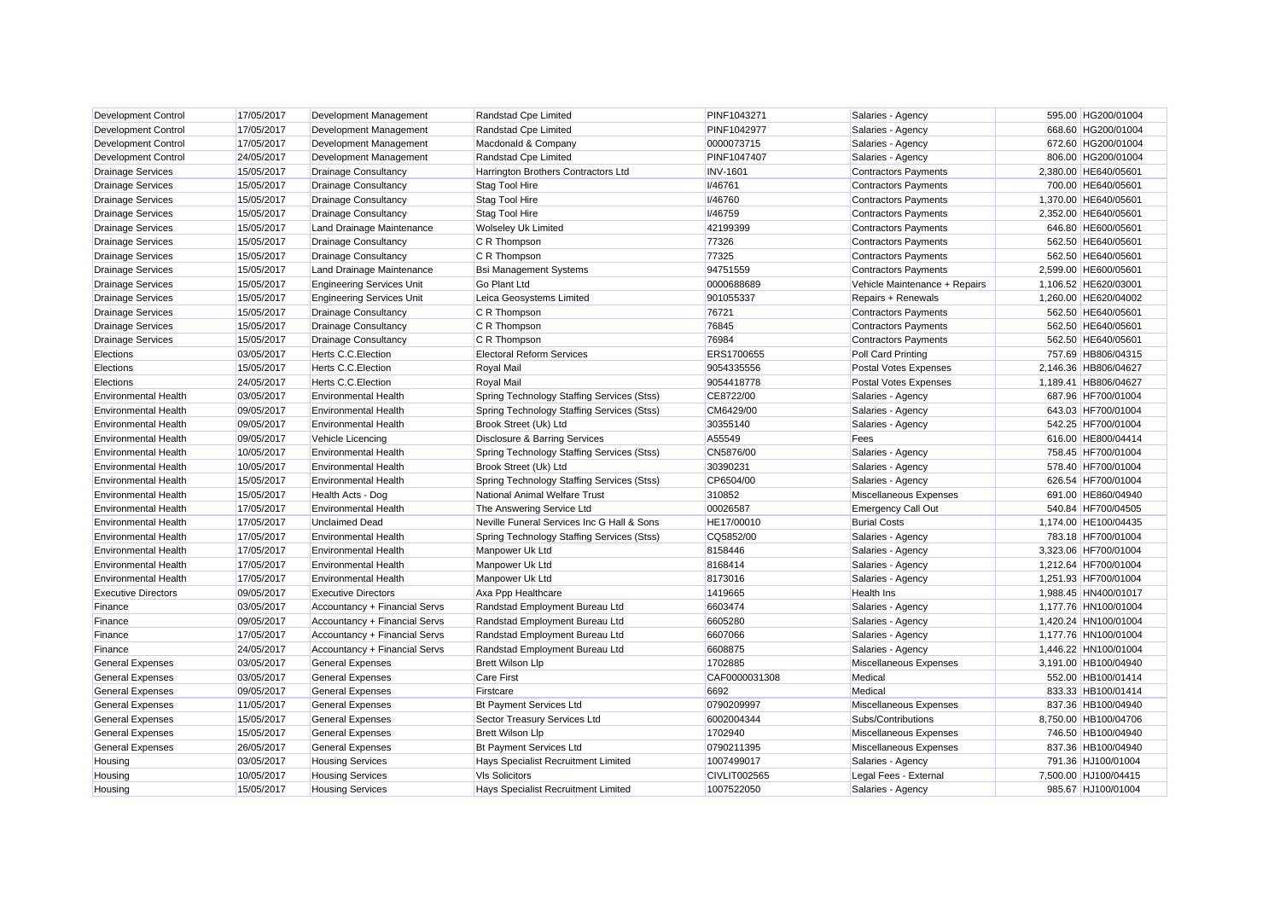| <b>Development Control</b>  | 17/05/2017 | Development Management           | Randstad Cpe Limited                       | PINF1043271         | Salaries - Agency             | 595.00 HG200/01004   |
|-----------------------------|------------|----------------------------------|--------------------------------------------|---------------------|-------------------------------|----------------------|
| <b>Development Control</b>  | 17/05/2017 | Development Management           | Randstad Cpe Limited                       | PINF1042977         | Salaries - Agency             | 668.60 HG200/01004   |
| <b>Development Control</b>  | 17/05/2017 | Development Management           | Macdonald & Company                        | 0000073715          | Salaries - Agency             | 672.60 HG200/01004   |
| <b>Development Control</b>  | 24/05/2017 | Development Management           | Randstad Cpe Limited                       | PINF1047407         | Salaries - Agency             | 806.00 HG200/01004   |
| <b>Drainage Services</b>    | 15/05/2017 | <b>Drainage Consultancy</b>      | Harrington Brothers Contractors Ltd        | <b>INV-1601</b>     | <b>Contractors Payments</b>   | 2,380.00 HE640/05601 |
| <b>Drainage Services</b>    | 15/05/2017 | <b>Drainage Consultancy</b>      | <b>Stag Tool Hire</b>                      | <b>I/46761</b>      | <b>Contractors Payments</b>   | 700.00 HE640/05601   |
| <b>Drainage Services</b>    | 15/05/2017 | <b>Drainage Consultancy</b>      | <b>Stag Tool Hire</b>                      | <b>I/46760</b>      | <b>Contractors Payments</b>   | 1.370.00 HE640/05601 |
| <b>Drainage Services</b>    | 15/05/2017 | <b>Drainage Consultancy</b>      | <b>Stag Tool Hire</b>                      | <b>I/46759</b>      | <b>Contractors Payments</b>   | 2,352.00 HE640/05601 |
| <b>Drainage Services</b>    | 15/05/2017 | Land Drainage Maintenance        | <b>Wolseley Uk Limited</b>                 | 42199399            | <b>Contractors Payments</b>   | 646.80 HE600/05601   |
| <b>Drainage Services</b>    | 15/05/2017 | <b>Drainage Consultancy</b>      | C R Thompson                               | 77326               | <b>Contractors Payments</b>   | 562.50 HE640/05601   |
| <b>Drainage Services</b>    | 15/05/2017 | <b>Drainage Consultancy</b>      | C R Thompson                               | 77325               | <b>Contractors Payments</b>   | 562.50 HE640/05601   |
| <b>Drainage Services</b>    | 15/05/2017 | Land Drainage Maintenance        | <b>Bsi Management Systems</b>              | 94751559            | <b>Contractors Payments</b>   | 2,599.00 HE600/05601 |
| <b>Drainage Services</b>    | 15/05/2017 | <b>Engineering Services Unit</b> | <b>Go Plant Ltd</b>                        | 0000688689          | Vehicle Maintenance + Repairs | 1,106.52 HE620/03001 |
| <b>Drainage Services</b>    | 15/05/2017 | <b>Engineering Services Unit</b> | Leica Geosystems Limited                   | 901055337           | Repairs + Renewals            | 1,260.00 HE620/04002 |
| <b>Drainage Services</b>    | 15/05/2017 | <b>Drainage Consultancy</b>      | C R Thompson                               | 76721               | <b>Contractors Payments</b>   | 562.50 HE640/05601   |
| <b>Drainage Services</b>    | 15/05/2017 | <b>Drainage Consultancy</b>      | C R Thompson                               | 76845               | Contractors Payments          | 562.50 HE640/05601   |
| <b>Drainage Services</b>    | 15/05/2017 | <b>Drainage Consultancy</b>      | C R Thompson                               | 76984               | <b>Contractors Payments</b>   | 562.50 HE640/05601   |
| Elections                   | 03/05/2017 | Herts C.C. Election              | <b>Electoral Reform Services</b>           | ERS1700655          | <b>Poll Card Printing</b>     | 757.69 HB806/04315   |
| Elections                   | 15/05/2017 | Herts C.C. Election              | Royal Mail                                 | 9054335556          | Postal Votes Expenses         | 2,146.36 HB806/04627 |
| Elections                   | 24/05/2017 | <b>Herts C.C. Election</b>       | Royal Mail                                 | 9054418778          | Postal Votes Expenses         | 1,189.41 HB806/04627 |
| <b>Environmental Health</b> | 03/05/2017 | <b>Environmental Health</b>      | Spring Technology Staffing Services (Stss) | CE8722/00           | Salaries - Agency             | 687.96 HF700/01004   |
| <b>Environmental Health</b> | 09/05/2017 | <b>Environmental Health</b>      | Spring Technology Staffing Services (Stss) | CM6429/00           | Salaries - Agency             | 643.03 HF700/01004   |
| <b>Environmental Health</b> | 09/05/2017 | <b>Environmental Health</b>      | Brook Street (Uk) Ltd                      | 30355140            | Salaries - Agency             | 542.25 HF700/01004   |
| <b>Environmental Health</b> | 09/05/2017 | <b>Vehicle Licencing</b>         | Disclosure & Barring Services              | A55549              | Fees                          | 616.00 HE800/04414   |
| <b>Environmental Health</b> | 10/05/2017 | <b>Environmental Health</b>      | Spring Technology Staffing Services (Stss) | CN5876/00           | Salaries - Agency             | 758.45 HF700/01004   |
| <b>Environmental Health</b> | 10/05/2017 | <b>Environmental Health</b>      | Brook Street (Uk) Ltd                      | 30390231            | Salaries - Agency             | 578.40 HF700/01004   |
| <b>Environmental Health</b> | 15/05/2017 | <b>Environmental Health</b>      | Spring Technology Staffing Services (Stss) | CP6504/00           | Salaries - Agency             | 626.54 HF700/01004   |
| <b>Environmental Health</b> | 15/05/2017 | Health Acts - Dog                | National Animal Welfare Trust              | 310852              | Miscellaneous Expenses        | 691.00 HE860/04940   |
| <b>Environmental Health</b> | 17/05/2017 | <b>Environmental Health</b>      | The Answering Service Ltd                  | 00026587            | <b>Emergency Call Out</b>     | 540.84 HF700/04505   |
| <b>Environmental Health</b> | 17/05/2017 | <b>Unclaimed Dead</b>            | Neville Funeral Services Inc G Hall & Sons | HE17/00010          | <b>Burial Costs</b>           | 1,174.00 HE100/04435 |
| <b>Environmental Health</b> | 17/05/2017 | <b>Environmental Health</b>      | Spring Technology Staffing Services (Stss) | CQ5852/00           | Salaries - Agency             | 783.18 HF700/01004   |
| <b>Environmental Health</b> | 17/05/2017 | <b>Environmental Health</b>      | Manpower Uk Ltd                            | 8158446             | Salaries - Agency             | 3,323.06 HF700/01004 |
| <b>Environmental Health</b> | 17/05/2017 | <b>Environmental Health</b>      | Manpower Uk Ltd                            | 8168414             | Salaries - Agency             | 1,212.64 HF700/01004 |
| <b>Environmental Health</b> | 17/05/2017 | <b>Environmental Health</b>      | Manpower Uk Ltd                            | 8173016             | Salaries - Agency             | 1,251.93 HF700/01004 |
| <b>Executive Directors</b>  | 09/05/2017 | <b>Executive Directors</b>       | Axa Ppp Healthcare                         | 1419665             | <b>Health Ins</b>             | 1,988.45 HN400/01017 |
| Finance                     | 03/05/2017 | Accountancy + Financial Servs    | Randstad Employment Bureau Ltd             | 6603474             | Salaries - Agency             | 1,177.76 HN100/01004 |
| Finance                     | 09/05/2017 | Accountancy + Financial Servs    | Randstad Employment Bureau Ltd             | 6605280             | Salaries - Agency             | 1,420.24 HN100/01004 |
| Finance                     | 17/05/2017 | Accountancy + Financial Servs    | Randstad Employment Bureau Ltd             | 6607066             | Salaries - Agency             | 1,177.76 HN100/01004 |
| Finance                     | 24/05/2017 | Accountancy + Financial Servs    | Randstad Employment Bureau Ltd             | 6608875             | Salaries - Agency             | 1,446.22 HN100/01004 |
| <b>General Expenses</b>     | 03/05/2017 | <b>General Expenses</b>          | <b>Brett Wilson Llp</b>                    | 1702885             | Miscellaneous Expenses        | 3,191.00 HB100/04940 |
| <b>General Expenses</b>     | 03/05/2017 | <b>General Expenses</b>          | <b>Care First</b>                          | CAF0000031308       | Medical                       | 552.00 HB100/01414   |
| <b>General Expenses</b>     | 09/05/2017 | <b>General Expenses</b>          | Firstcare                                  | 6692                | Medical                       | 833.33 HB100/01414   |
| <b>General Expenses</b>     | 11/05/2017 | <b>General Expenses</b>          | <b>Bt Payment Services Ltd</b>             | 0790209997          | Miscellaneous Expenses        | 837.36 HB100/04940   |
| <b>General Expenses</b>     | 15/05/2017 | <b>General Expenses</b>          | Sector Treasury Services Ltd               | 6002004344          | Subs/Contributions            | 8,750.00 HB100/04706 |
| <b>General Expenses</b>     | 15/05/2017 | <b>General Expenses</b>          | <b>Brett Wilson Llp</b>                    | 1702940             | Miscellaneous Expenses        | 746.50 HB100/04940   |
| <b>General Expenses</b>     | 26/05/2017 | <b>General Expenses</b>          | <b>Bt Payment Services Ltd</b>             | 0790211395          | Miscellaneous Expenses        | 837.36 HB100/04940   |
| Housing                     | 03/05/2017 | <b>Housing Services</b>          | Hays Specialist Recruitment Limited        | 1007499017          | Salaries - Agency             | 791.36 HJ100/01004   |
| Housing                     | 10/05/2017 | <b>Housing Services</b>          | <b>VIs Solicitors</b>                      | <b>CIVLIT002565</b> | Legal Fees - External         | 7.500.00 HJ100/04415 |
| Housing                     | 15/05/2017 | <b>Housing Services</b>          | <b>Havs Specialist Recruitment Limited</b> | 1007522050          | Salaries - Agency             | 985.67 HJ100/01004   |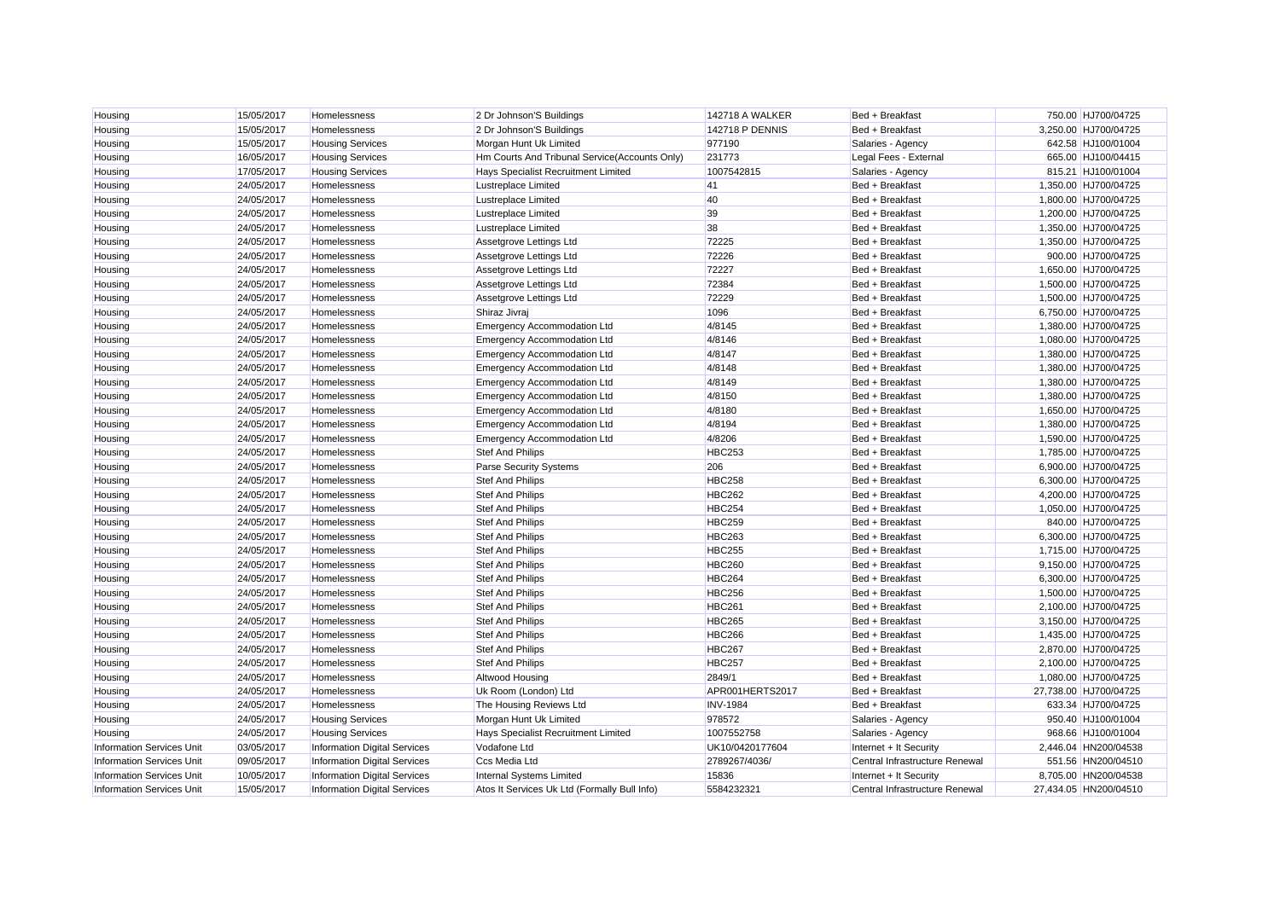| Housing                          | 15/05/2017 | Homelessness                        | 2 Dr Johnson'S Buildings                      | 142718 A WALKER        | Bed + Breakfast                | 750.00 HJ700/04725    |
|----------------------------------|------------|-------------------------------------|-----------------------------------------------|------------------------|--------------------------------|-----------------------|
| Housing                          | 15/05/2017 | Homelessness                        | 2 Dr Johnson'S Buildings                      | <b>142718 P DENNIS</b> | Bed + Breakfast                | 3,250.00 HJ700/04725  |
| Housing                          | 15/05/2017 | <b>Housing Services</b>             | Morgan Hunt Uk Limited                        | 977190                 | Salaries - Agency              | 642.58 HJ100/01004    |
| Housing                          | 16/05/2017 | <b>Housing Services</b>             | Hm Courts And Tribunal Service(Accounts Only) | 231773                 | Legal Fees - External          | 665.00 HJ100/04415    |
| Housing                          | 17/05/2017 | <b>Housing Services</b>             | Hays Specialist Recruitment Limited           | 1007542815             | Salaries - Agency              | 815.21 HJ100/01004    |
| Housing                          | 24/05/2017 | Homelessness                        | Lustreplace Limited                           | 41                     | Bed + Breakfast                | 1,350.00 HJ700/04725  |
| Housing                          | 24/05/2017 | Homelessness                        | Lustreplace Limited                           | 40                     | Bed + Breakfast                | 1,800.00 HJ700/04725  |
| Housing                          | 24/05/2017 | Homelessness                        | Lustreplace Limited                           | 39                     | Bed + Breakfast                | 1,200.00 HJ700/04725  |
| Housing                          | 24/05/2017 | Homelessness                        | Lustreplace Limited                           | 38                     | Bed + Breakfast                | 1,350.00 HJ700/04725  |
| Housing                          | 24/05/2017 | Homelessness                        | Assetgrove Lettings Ltd                       | 72225                  | Bed + Breakfast                | 1,350.00 HJ700/04725  |
| Housing                          | 24/05/2017 | Homelessness                        | Assetgrove Lettings Ltd                       | 72226                  | Bed + Breakfast                | 900.00 HJ700/04725    |
| Housing                          | 24/05/2017 | Homelessness                        | Assetgrove Lettings Ltd                       | 72227                  | Bed + Breakfast                | 1,650.00 HJ700/04725  |
| Housing                          | 24/05/2017 | Homelessness                        | Assetgrove Lettings Ltd                       | 72384                  | Bed + Breakfast                | 1,500.00 HJ700/04725  |
| Housing                          | 24/05/2017 | Homelessness                        | Assetgrove Lettings Ltd                       | 72229                  | Bed + Breakfast                | 1,500.00 HJ700/04725  |
| Housing                          | 24/05/2017 | Homelessness                        | Shiraz Jivraj                                 | 1096                   | Bed + Breakfast                | 6,750.00 HJ700/04725  |
| Housing                          | 24/05/2017 | Homelessness                        | <b>Emergency Accommodation Ltd</b>            | 4/8145                 | Bed + Breakfast                | 1,380.00 HJ700/04725  |
| Housing                          | 24/05/2017 | Homelessness                        | Emergency Accommodation Ltd                   | 4/8146                 | Bed + Breakfast                | 1,080.00 HJ700/04725  |
| Housing                          | 24/05/2017 | Homelessness                        | Emergency Accommodation Ltd                   | 4/8147                 | Bed + Breakfast                | 1,380.00 HJ700/04725  |
| Housing                          | 24/05/2017 | Homelessness                        | Emergency Accommodation Ltd                   | 4/8148                 | Bed + Breakfast                | 1,380.00 HJ700/04725  |
| Housing                          | 24/05/2017 | Homelessness                        | Emergency Accommodation Ltd                   | 4/8149                 | Bed + Breakfast                | 1,380.00 HJ700/04725  |
| Housing                          | 24/05/2017 | Homelessness                        | <b>Emergency Accommodation Ltd</b>            | 4/8150                 | Bed + Breakfast                | 1,380.00 HJ700/04725  |
| Housing                          | 24/05/2017 | <b>Homelessness</b>                 | Emergency Accommodation Ltd                   | 4/8180                 | Bed + Breakfast                | 1,650.00 HJ700/04725  |
| Housing                          | 24/05/2017 | Homelessness                        | <b>Emergency Accommodation Ltd</b>            | 4/8194                 | Bed + Breakfast                | 1,380.00 HJ700/04725  |
| Housing                          | 24/05/2017 | Homelessness                        | <b>Emergency Accommodation Ltd</b>            | 4/8206                 | Bed + Breakfast                | 1,590.00 HJ700/04725  |
| Housing                          | 24/05/2017 | Homelessness                        | <b>Stef And Philips</b>                       | <b>HBC253</b>          | Bed + Breakfast                | 1,785.00 HJ700/04725  |
| Housing                          | 24/05/2017 | Homelessness                        | <b>Parse Security Systems</b>                 | 206                    | Bed + Breakfast                | 6,900.00 HJ700/04725  |
| Housing                          | 24/05/2017 | Homelessness                        | <b>Stef And Philips</b>                       | <b>HBC258</b>          | Bed + Breakfast                | 6,300.00 HJ700/04725  |
| Housing                          | 24/05/2017 | Homelessness                        | <b>Stef And Philips</b>                       | <b>HBC262</b>          | Bed + Breakfast                | 4,200.00 HJ700/04725  |
| Housing                          | 24/05/2017 | Homelessness                        | Stef And Philips                              | <b>HBC254</b>          | Bed + Breakfast                | 1,050.00 HJ700/04725  |
| Housing                          | 24/05/2017 | Homelessness                        | <b>Stef And Philips</b>                       | <b>HBC259</b>          | Bed + Breakfast                | 840.00 HJ700/04725    |
| Housing                          | 24/05/2017 | Homelessness                        | <b>Stef And Philips</b>                       | <b>HBC263</b>          | Bed + Breakfast                | 6,300.00 HJ700/04725  |
| Housing                          | 24/05/2017 | Homelessness                        | Stef And Philips                              | <b>HBC255</b>          | Bed + Breakfast                | 1,715.00 HJ700/04725  |
| Housing                          | 24/05/2017 | Homelessness                        | <b>Stef And Philips</b>                       | <b>HBC260</b>          | Bed + Breakfast                | 9,150.00 HJ700/04725  |
| Housing                          | 24/05/2017 | Homelessness                        | <b>Stef And Philips</b>                       | <b>HBC264</b>          | Bed + Breakfast                | 6,300.00 HJ700/04725  |
| Housing                          | 24/05/2017 | Homelessness                        | Stef And Philips                              | <b>HBC256</b>          | Bed + Breakfast                | 1,500.00 HJ700/04725  |
| Housing                          | 24/05/2017 | <b>Homelessness</b>                 | Stef And Philips                              | <b>HBC261</b>          | Bed + Breakfast                | 2,100.00 HJ700/04725  |
| Housing                          | 24/05/2017 | Homelessness                        | <b>Stef And Philips</b>                       | <b>HBC265</b>          | Bed + Breakfast                | 3,150.00 HJ700/04725  |
| Housing                          | 24/05/2017 | Homelessness                        | Stef And Philips                              | <b>HBC266</b>          | Bed + Breakfast                | 1,435.00 HJ700/04725  |
| Housing                          | 24/05/2017 | Homelessness                        | <b>Stef And Philips</b>                       | <b>HBC267</b>          | Bed + Breakfast                | 2,870.00 HJ700/04725  |
| Housing                          | 24/05/2017 | Homelessness                        | Stef And Philips                              | <b>HBC257</b>          | Bed + Breakfast                | 2,100.00 HJ700/04725  |
| Housing                          | 24/05/2017 | Homelessness                        | Altwood Housing                               | 2849/1                 | Bed + Breakfast                | 1,080.00 HJ700/04725  |
| Housing                          | 24/05/2017 | Homelessness                        | Uk Room (London) Ltd                          | APR001HERTS2017        | Bed + Breakfast                | 27,738.00 HJ700/04725 |
| Housing                          | 24/05/2017 | Homelessness                        | The Housing Reviews Ltd                       | <b>INV-1984</b>        | Bed + Breakfast                | 633.34 HJ700/04725    |
| Housing                          | 24/05/2017 | <b>Housing Services</b>             | Morgan Hunt Uk Limited                        | 978572                 | Salaries - Agency              | 950.40 HJ100/01004    |
| Housing                          | 24/05/2017 | <b>Housing Services</b>             | Hays Specialist Recruitment Limited           | 1007552758             | Salaries - Agency              | 968.66 HJ100/01004    |
| <b>Information Services Unit</b> | 03/05/2017 | <b>Information Digital Services</b> | Vodafone Ltd                                  | UK10/0420177604        | Internet + It Security         | 2,446.04 HN200/04538  |
| <b>Information Services Unit</b> | 09/05/2017 | <b>Information Digital Services</b> | Ccs Media Ltd                                 | 2789267/4036/          | Central Infrastructure Renewal | 551.56 HN200/04510    |
| <b>Information Services Unit</b> | 10/05/2017 | <b>Information Digital Services</b> | <b>Internal Systems Limited</b>               | 15836                  | Internet + It Security         | 8,705.00 HN200/04538  |
| <b>Information Services Unit</b> | 15/05/2017 | <b>Information Digital Services</b> | Atos It Services Uk Ltd (Formally Bull Info)  | 5584232321             | Central Infrastructure Renewal | 27,434.05 HN200/04510 |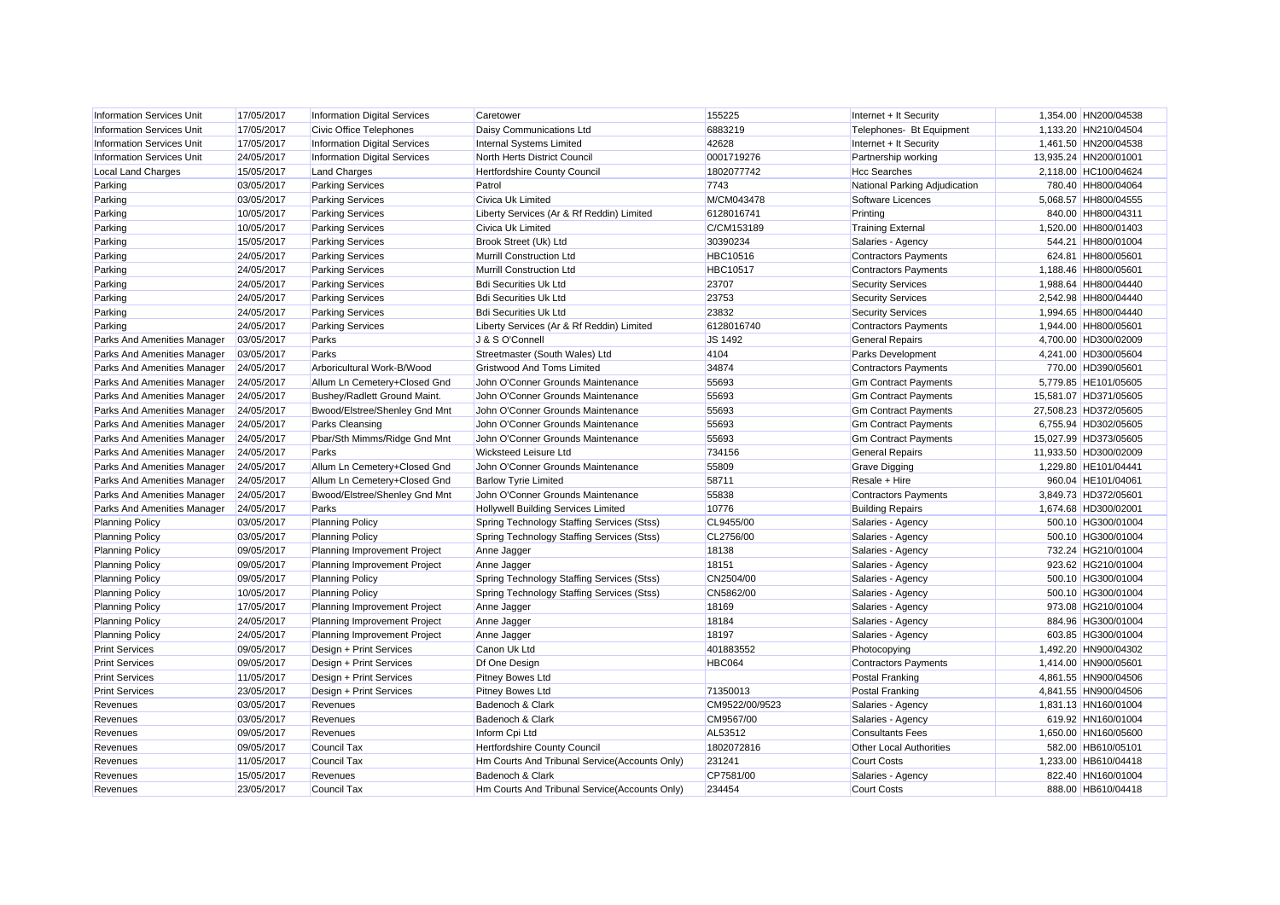| <b>Information Services Unit</b>   | 17/05/2017 | <b>Information Digital Services</b> | Caretower                                      | 155225          | Internet + It Security         | 1,354.00 HN200/04538  |
|------------------------------------|------------|-------------------------------------|------------------------------------------------|-----------------|--------------------------------|-----------------------|
| <b>Information Services Unit</b>   | 17/05/2017 | <b>Civic Office Telephones</b>      | Daisy Communications Ltd                       | 6883219         | Telephones- Bt Equipment       | 1,133.20 HN210/04504  |
| <b>Information Services Unit</b>   | 17/05/2017 | <b>Information Digital Services</b> | <b>Internal Systems Limited</b>                | 42628           | Internet + It Security         | 1,461.50 HN200/04538  |
| <b>Information Services Unit</b>   | 24/05/2017 | <b>Information Digital Services</b> | <b>North Herts District Council</b>            | 0001719276      | Partnership working            | 13,935.24 HN200/01001 |
| <b>Local Land Charges</b>          | 15/05/2017 | <b>Land Charges</b>                 | <b>Hertfordshire County Council</b>            | 1802077742      | <b>Hcc Searches</b>            | 2,118.00 HC100/04624  |
| Parking                            | 03/05/2017 | <b>Parking Services</b>             | Patrol                                         | 7743            | National Parking Adjudication  | 780.40 HH800/04064    |
| Parking                            | 03/05/2017 | <b>Parking Services</b>             | Civica Uk Limited                              | M/CM043478      | Software Licences              | 5,068.57 HH800/04555  |
| Parking                            | 10/05/2017 | <b>Parking Services</b>             | Liberty Services (Ar & Rf Reddin) Limited      | 6128016741      | Printing                       | 840.00 HH800/04311    |
| Parking                            | 10/05/2017 | <b>Parking Services</b>             | Civica Uk Limited                              | C/CM153189      | <b>Training External</b>       | 1,520.00 HH800/01403  |
| Parking                            | 15/05/2017 | <b>Parking Services</b>             | Brook Street (Uk) Ltd                          | 30390234        | Salaries - Agency              | 544.21 HH800/01004    |
| Parking                            | 24/05/2017 | <b>Parking Services</b>             | Murrill Construction Ltd                       | <b>HBC10516</b> | <b>Contractors Payments</b>    | 624.81 HH800/05601    |
| Parking                            | 24/05/2017 | <b>Parking Services</b>             | Murrill Construction Ltd                       | <b>HBC10517</b> | <b>Contractors Payments</b>    | 1,188.46 HH800/05601  |
| Parking                            | 24/05/2017 | <b>Parking Services</b>             | <b>Bdi Securities Uk Ltd</b>                   | 23707           | <b>Security Services</b>       | 1,988.64 HH800/04440  |
| Parking                            | 24/05/2017 | <b>Parking Services</b>             | <b>Bdi Securities Uk Ltd</b>                   | 23753           | <b>Security Services</b>       | 2,542.98 HH800/04440  |
| Parking                            | 24/05/2017 | <b>Parking Services</b>             | <b>Bdi Securities Uk Ltd</b>                   | 23832           | <b>Security Services</b>       | 1,994.65 HH800/04440  |
| Parking                            | 24/05/2017 | <b>Parking Services</b>             | Liberty Services (Ar & Rf Reddin) Limited      | 6128016740      | <b>Contractors Payments</b>    | 1.944.00 HH800/05601  |
| <b>Parks And Amenities Manager</b> | 03/05/2017 | Parks                               | J & S O'Connell                                | <b>JS 1492</b>  | <b>General Repairs</b>         | 4,700.00 HD300/02009  |
| Parks And Amenities Manager        | 03/05/2017 | Parks                               | Streetmaster (South Wales) Ltd                 | 4104            | Parks Development              | 4,241.00 HD300/05604  |
| Parks And Amenities Manager        | 24/05/2017 | Arboricultural Work-B/Wood          | <b>Gristwood And Toms Limited</b>              | 34874           | <b>Contractors Payments</b>    | 770.00 HD390/05601    |
| Parks And Amenities Manager        | 24/05/2017 | Allum Ln Cemetery+Closed Gnd        | John O'Conner Grounds Maintenance              | 55693           | <b>Gm Contract Payments</b>    | 5,779.85 HE101/05605  |
| Parks And Amenities Manager        | 24/05/2017 | Bushey/Radlett Ground Maint.        | John O'Conner Grounds Maintenance              | 55693           | <b>Gm Contract Payments</b>    | 15,581.07 HD371/05605 |
| <b>Parks And Amenities Manager</b> | 24/05/2017 | Bwood/Elstree/Shenley Gnd Mnt       | John O'Conner Grounds Maintenance              | 55693           | <b>Gm Contract Payments</b>    | 27,508.23 HD372/05605 |
| Parks And Amenities Manager        | 24/05/2017 | Parks Cleansing                     | John O'Conner Grounds Maintenance              | 55693           | <b>Gm Contract Payments</b>    | 6,755.94 HD302/05605  |
| Parks And Amenities Manager        | 24/05/2017 | Pbar/Sth Mimms/Ridge Gnd Mnt        | John O'Conner Grounds Maintenance              | 55693           | <b>Gm Contract Payments</b>    | 15,027.99 HD373/05605 |
| Parks And Amenities Manager        | 24/05/2017 | Parks                               | Wicksteed Leisure Ltd                          | 734156          | <b>General Repairs</b>         | 11,933.50 HD300/02009 |
| Parks And Amenities Manager        | 24/05/2017 | Allum Ln Cemetery+Closed Gnd        | John O'Conner Grounds Maintenance              | 55809           | <b>Grave Digging</b>           | 1,229.80 HE101/04441  |
| Parks And Amenities Manager        | 24/05/2017 | Allum Ln Cemetery+Closed Gnd        | <b>Barlow Tyrie Limited</b>                    | 58711           | Resale + Hire                  | 960.04 HE101/04061    |
| Parks And Amenities Manager        | 24/05/2017 | Bwood/Elstree/Shenley Gnd Mnt       | John O'Conner Grounds Maintenance              | 55838           | <b>Contractors Payments</b>    | 3,849.73 HD372/05601  |
| Parks And Amenities Manager        | 24/05/2017 | Parks                               | Hollywell Building Services Limited            | 10776           | <b>Building Repairs</b>        | 1,674.68 HD300/02001  |
| <b>Planning Policy</b>             | 03/05/2017 | <b>Planning Policy</b>              | Spring Technology Staffing Services (Stss)     | CL9455/00       | Salaries - Agency              | 500.10 HG300/01004    |
| <b>Planning Policy</b>             | 03/05/2017 | <b>Planning Policy</b>              | Spring Technology Staffing Services (Stss)     | CL2756/00       | Salaries - Agency              | 500.10 HG300/01004    |
| <b>Planning Policy</b>             | 09/05/2017 | Planning Improvement Project        | Anne Jagger                                    | 18138           | Salaries - Agency              | 732.24 HG210/01004    |
| <b>Planning Policy</b>             | 09/05/2017 | Planning Improvement Project        | Anne Jagger                                    | 18151           | Salaries - Agency              | 923.62 HG210/01004    |
| <b>Planning Policy</b>             | 09/05/2017 | <b>Planning Policy</b>              | Spring Technology Staffing Services (Stss)     | CN2504/00       | Salaries - Agency              | 500.10 HG300/01004    |
| <b>Planning Policy</b>             | 10/05/2017 | <b>Planning Policy</b>              | Spring Technology Staffing Services (Stss)     | CN5862/00       | Salaries - Agency              | 500.10 HG300/01004    |
| <b>Planning Policy</b>             | 17/05/2017 | Planning Improvement Project        | Anne Jagger                                    | 18169           | Salaries - Agency              | 973.08 HG210/01004    |
| <b>Planning Policy</b>             | 24/05/2017 | Planning Improvement Project        | Anne Jagger                                    | 18184           | Salaries - Agency              | 884.96 HG300/01004    |
| <b>Planning Policy</b>             | 24/05/2017 | Planning Improvement Project        | Anne Jagger                                    | 18197           | Salaries - Agency              | 603.85 HG300/01004    |
| <b>Print Services</b>              | 09/05/2017 | Design + Print Services             | Canon Uk Ltd                                   | 401883552       | Photocopying                   | 1,492.20 HN900/04302  |
| <b>Print Services</b>              | 09/05/2017 | Design + Print Services             | Df One Design                                  | HBC064          | <b>Contractors Payments</b>    | 1,414.00 HN900/05601  |
| <b>Print Services</b>              | 11/05/2017 | Design + Print Services             | Pitney Bowes Ltd                               |                 | Postal Franking                | 4,861.55 HN900/04506  |
| <b>Print Services</b>              | 23/05/2017 | Design + Print Services             | <b>Pitney Bowes Ltd</b>                        | 71350013        | <b>Postal Franking</b>         | 4,841.55 HN900/04506  |
| Revenues                           | 03/05/2017 | Revenues                            | Badenoch & Clark                               | CM9522/00/9523  | Salaries - Agency              | 1,831.13 HN160/01004  |
| Revenues                           | 03/05/2017 | Revenues                            | Badenoch & Clark                               | CM9567/00       | Salaries - Agency              | 619.92 HN160/01004    |
| Revenues                           | 09/05/2017 | Revenues                            | Inform Cpi Ltd                                 | AL53512         | <b>Consultants Fees</b>        | 1,650.00 HN160/05600  |
| Revenues                           | 09/05/2017 | <b>Council Tax</b>                  | Hertfordshire County Council                   | 1802072816      | <b>Other Local Authorities</b> | 582.00 HB610/05101    |
| Revenues                           | 11/05/2017 | Council Tax                         | Hm Courts And Tribunal Service(Accounts Only)  | 231241          | <b>Court Costs</b>             | 1,233.00 HB610/04418  |
| Revenues                           | 15/05/2017 | Revenues                            | Badenoch & Clark                               | CP7581/00       | Salaries - Agency              | 822.40 HN160/01004    |
| Revenues                           | 23/05/2017 | <b>Council Tax</b>                  | Hm Courts And Tribunal Service (Accounts Only) | 234454          | <b>Court Costs</b>             | 888.00 HB610/04418    |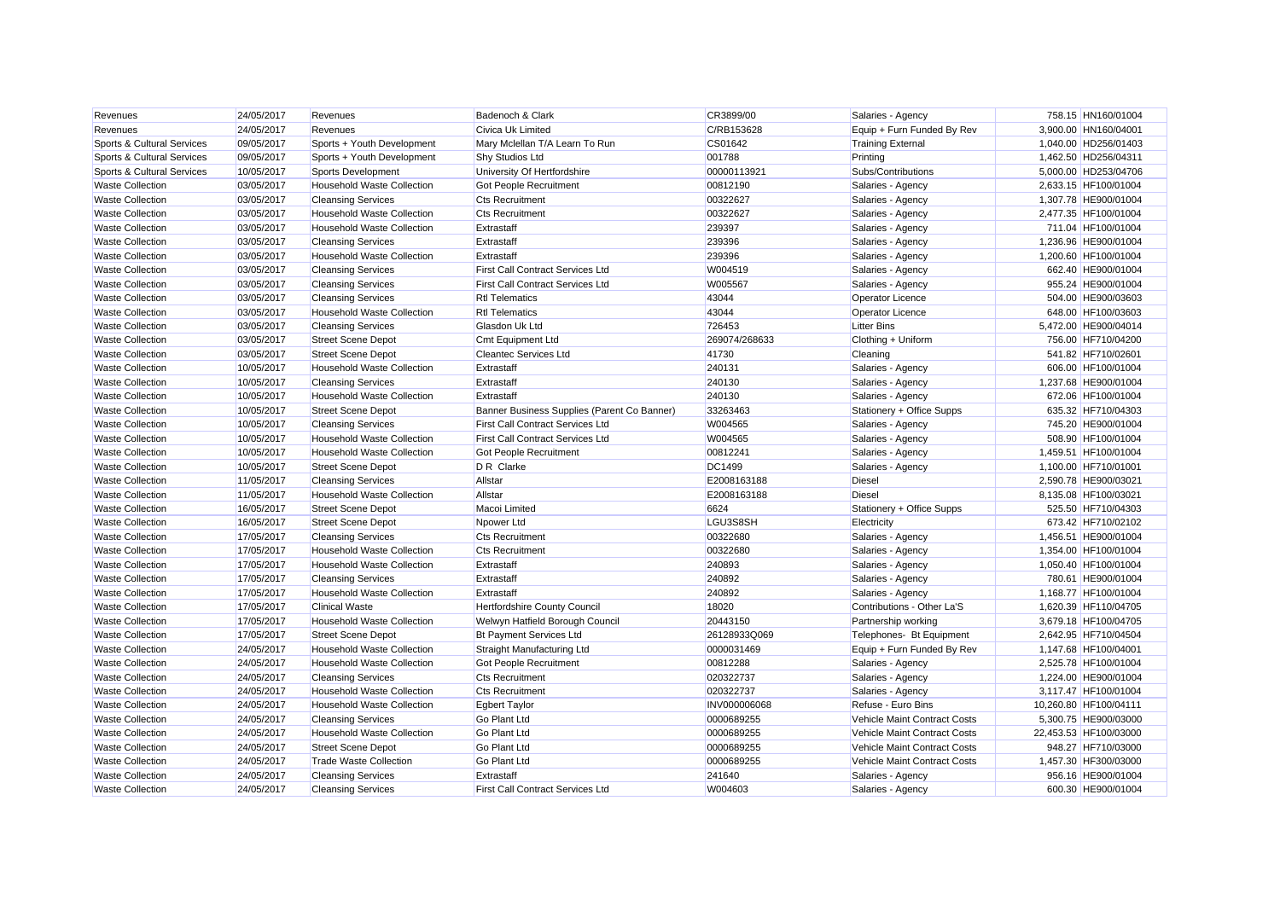| Revenues                   | 24/05/2017 | Revenues                          | Badenoch & Clark                            | CR3899/00     | Salaries - Agency            | 758.15 HN160/01004    |
|----------------------------|------------|-----------------------------------|---------------------------------------------|---------------|------------------------------|-----------------------|
| Revenues                   | 24/05/2017 | Revenues                          | <b>Civica Uk Limited</b>                    | C/RB153628    | Equip + Furn Funded By Rev   | 3,900.00 HN160/04001  |
| Sports & Cultural Services | 09/05/2017 | Sports + Youth Development        | Mary Mclellan T/A Learn To Run              | CS01642       | <b>Training External</b>     | 1,040.00 HD256/01403  |
| Sports & Cultural Services | 09/05/2017 | Sports + Youth Development        | <b>Shy Studios Ltd</b>                      | 001788        | Printing                     | 1,462.50 HD256/04311  |
| Sports & Cultural Services | 10/05/2017 | Sports Development                | University Of Hertfordshire                 | 00000113921   | Subs/Contributions           | 5,000.00 HD253/04706  |
| <b>Waste Collection</b>    | 03/05/2017 | <b>Household Waste Collection</b> | Got People Recruitment                      | 00812190      | Salaries - Agency            | 2,633.15 HF100/01004  |
| <b>Waste Collection</b>    | 03/05/2017 | <b>Cleansing Services</b>         | <b>Cts Recruitment</b>                      | 00322627      | Salaries - Agency            | 1,307.78 HE900/01004  |
| <b>Waste Collection</b>    | 03/05/2017 | <b>Household Waste Collection</b> | <b>Cts Recruitment</b>                      | 00322627      | Salaries - Agency            | 2,477.35 HF100/01004  |
| <b>Waste Collection</b>    | 03/05/2017 | <b>Household Waste Collection</b> | Extrastaff                                  | 239397        | Salaries - Agency            | 711.04 HF100/01004    |
| <b>Waste Collection</b>    | 03/05/2017 | <b>Cleansing Services</b>         | Extrastaff                                  | 239396        | Salaries - Agency            | 1,236.96 HE900/01004  |
| <b>Waste Collection</b>    | 03/05/2017 | <b>Household Waste Collection</b> | Extrastaff                                  | 239396        | Salaries - Agency            | 1,200.60 HF100/01004  |
| <b>Waste Collection</b>    | 03/05/2017 | <b>Cleansing Services</b>         | <b>First Call Contract Services Ltd</b>     | W004519       | Salaries - Agency            | 662.40 HE900/01004    |
| <b>Waste Collection</b>    | 03/05/2017 | <b>Cleansing Services</b>         | <b>First Call Contract Services Ltd</b>     | W005567       | Salaries - Agency            | 955.24 HE900/01004    |
| <b>Waste Collection</b>    | 03/05/2017 | <b>Cleansing Services</b>         | <b>Rtl Telematics</b>                       | 43044         | <b>Operator Licence</b>      | 504.00 HE900/03603    |
| <b>Waste Collection</b>    | 03/05/2017 | <b>Household Waste Collection</b> | <b>Rtl Telematics</b>                       | 43044         | Operator Licence             | 648.00 HF100/03603    |
| <b>Waste Collection</b>    | 03/05/2017 | <b>Cleansing Services</b>         | Glasdon Uk Ltd                              | 726453        | <b>Litter Bins</b>           | 5,472.00 HE900/04014  |
| <b>Waste Collection</b>    | 03/05/2017 | <b>Street Scene Depot</b>         | <b>Cmt Equipment Ltd</b>                    | 269074/268633 | Clothing + Uniform           | 756.00 HF710/04200    |
| <b>Waste Collection</b>    | 03/05/2017 | <b>Street Scene Depot</b>         | <b>Cleantec Services Ltd</b>                | 41730         | Cleaning                     | 541.82 HF710/02601    |
| <b>Waste Collection</b>    | 10/05/2017 | <b>Household Waste Collection</b> | Extrastaff                                  | 240131        | Salaries - Agency            | 606.00 HF100/01004    |
| <b>Waste Collection</b>    | 10/05/2017 | <b>Cleansing Services</b>         | Extrastaff                                  | 240130        | Salaries - Agency            | 1,237.68 HE900/01004  |
| <b>Waste Collection</b>    | 10/05/2017 | <b>Household Waste Collection</b> | Extrastaff                                  | 240130        | Salaries - Agency            | 672.06 HF100/01004    |
| <b>Waste Collection</b>    | 10/05/2017 | <b>Street Scene Depot</b>         | Banner Business Supplies (Parent Co Banner) | 33263463      | Stationery + Office Supps    | 635.32 HF710/04303    |
| <b>Waste Collection</b>    | 10/05/2017 | <b>Cleansing Services</b>         | <b>First Call Contract Services Ltd</b>     | W004565       | Salaries - Agency            | 745.20 HE900/01004    |
| <b>Waste Collection</b>    | 10/05/2017 | <b>Household Waste Collection</b> | <b>First Call Contract Services Ltd</b>     | W004565       | Salaries - Agency            | 508.90 HF100/01004    |
| <b>Waste Collection</b>    | 10/05/2017 | <b>Household Waste Collection</b> | Got People Recruitment                      | 00812241      | Salaries - Agency            | 1,459.51 HF100/01004  |
| <b>Waste Collection</b>    | 10/05/2017 | <b>Street Scene Depot</b>         | D R Clarke                                  | <b>DC1499</b> | Salaries - Agency            | 1,100.00 HF710/01001  |
| <b>Waste Collection</b>    | 11/05/2017 | <b>Cleansing Services</b>         | Allstar                                     | E2008163188   | <b>Diesel</b>                | 2,590.78 HE900/03021  |
| <b>Waste Collection</b>    | 11/05/2017 | <b>Household Waste Collection</b> | Allstar                                     | E2008163188   | Diesel                       | 8.135.08 HF100/03021  |
| <b>Waste Collection</b>    | 16/05/2017 | <b>Street Scene Depot</b>         | Macoi Limited                               | 6624          | Stationery + Office Supps    | 525.50 HF710/04303    |
| <b>Waste Collection</b>    | 16/05/2017 | <b>Street Scene Depot</b>         | Npower Ltd                                  | LGU3S8SH      | Electricity                  | 673.42 HF710/02102    |
| <b>Waste Collection</b>    | 17/05/2017 | <b>Cleansing Services</b>         | <b>Cts Recruitment</b>                      | 00322680      | Salaries - Agency            | 1,456.51 HE900/01004  |
| <b>Waste Collection</b>    | 17/05/2017 | <b>Household Waste Collection</b> | <b>Cts Recruitment</b>                      | 00322680      | Salaries - Agency            | 1,354.00 HF100/01004  |
| <b>Waste Collection</b>    | 17/05/2017 | <b>Household Waste Collection</b> | Extrastaff                                  | 240893        | Salaries - Agency            | 1,050.40 HF100/01004  |
| <b>Waste Collection</b>    | 17/05/2017 | <b>Cleansing Services</b>         | Extrastaff                                  | 240892        | Salaries - Agency            | 780.61 HE900/01004    |
| <b>Waste Collection</b>    | 17/05/2017 | <b>Household Waste Collection</b> | Extrastaff                                  | 240892        | Salaries - Agency            | 1,168.77 HF100/01004  |
| <b>Waste Collection</b>    | 17/05/2017 | <b>Clinical Waste</b>             | <b>Hertfordshire County Council</b>         | 18020         | Contributions - Other La'S   | 1,620.39 HF110/04705  |
| <b>Waste Collection</b>    | 17/05/2017 | <b>Household Waste Collection</b> | Welwyn Hatfield Borough Council             | 20443150      | Partnership working          | 3,679.18 HF100/04705  |
| <b>Waste Collection</b>    | 17/05/2017 | <b>Street Scene Depot</b>         | <b>Bt Payment Services Ltd</b>              | 26128933Q069  | Telephones- Bt Equipment     | 2,642.95 HF710/04504  |
| <b>Waste Collection</b>    | 24/05/2017 | <b>Household Waste Collection</b> | Straight Manufacturing Ltd                  | 0000031469    | Equip + Furn Funded By Rev   | 1,147.68 HF100/04001  |
| <b>Waste Collection</b>    | 24/05/2017 | <b>Household Waste Collection</b> | Got People Recruitment                      | 00812288      | Salaries - Agency            | 2,525.78 HF100/01004  |
| <b>Waste Collection</b>    | 24/05/2017 | <b>Cleansing Services</b>         | <b>Cts Recruitment</b>                      | 020322737     | Salaries - Agency            | 1,224.00 HE900/01004  |
| <b>Waste Collection</b>    | 24/05/2017 | <b>Household Waste Collection</b> | <b>Cts Recruitment</b>                      | 020322737     | Salaries - Agency            | 3,117.47 HF100/01004  |
| <b>Waste Collection</b>    | 24/05/2017 | <b>Household Waste Collection</b> | <b>Egbert Taylor</b>                        | INV000006068  | Refuse - Euro Bins           | 10,260.80 HF100/04111 |
| <b>Waste Collection</b>    | 24/05/2017 | <b>Cleansing Services</b>         | <b>Go Plant Ltd</b>                         | 0000689255    | Vehicle Maint Contract Costs | 5,300.75 HE900/03000  |
| <b>Waste Collection</b>    | 24/05/2017 | <b>Household Waste Collection</b> | <b>Go Plant Ltd</b>                         | 0000689255    | Vehicle Maint Contract Costs | 22,453.53 HF100/03000 |
| <b>Waste Collection</b>    | 24/05/2017 | <b>Street Scene Depot</b>         | <b>Go Plant Ltd</b>                         | 0000689255    | Vehicle Maint Contract Costs | 948.27 HF710/03000    |
| <b>Waste Collection</b>    | 24/05/2017 | <b>Trade Waste Collection</b>     | <b>Go Plant Ltd</b>                         | 0000689255    | Vehicle Maint Contract Costs | 1,457.30 HF300/03000  |
| <b>Waste Collection</b>    | 24/05/2017 | <b>Cleansing Services</b>         | Extrastaff                                  | 241640        | Salaries - Agency            | 956.16 HE900/01004    |
| <b>Waste Collection</b>    | 24/05/2017 | <b>Cleansing Services</b>         | <b>First Call Contract Services Ltd</b>     | W004603       | Salaries - Agency            | 600.30 HE900/01004    |
|                            |            |                                   |                                             |               |                              |                       |